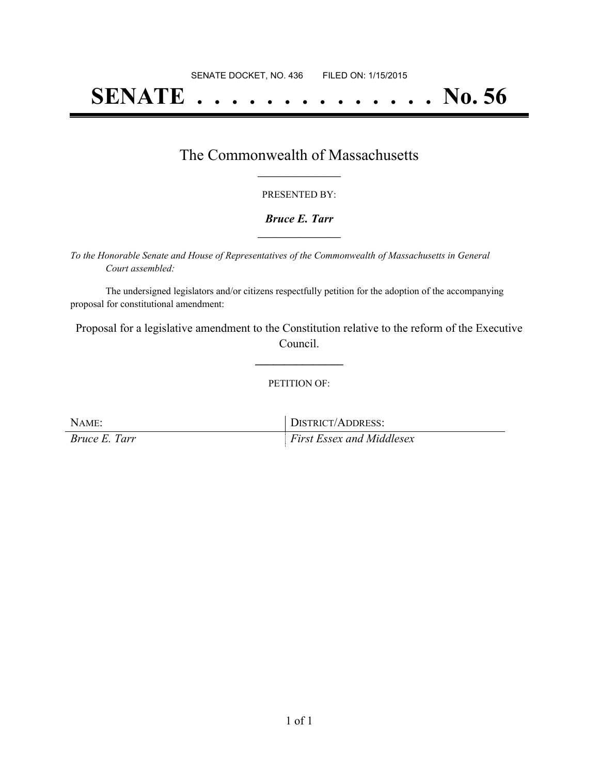# **SENATE . . . . . . . . . . . . . . No. 56**

### The Commonwealth of Massachusetts **\_\_\_\_\_\_\_\_\_\_\_\_\_\_\_\_\_**

#### PRESENTED BY:

#### *Bruce E. Tarr* **\_\_\_\_\_\_\_\_\_\_\_\_\_\_\_\_\_**

*To the Honorable Senate and House of Representatives of the Commonwealth of Massachusetts in General Court assembled:*

The undersigned legislators and/or citizens respectfully petition for the adoption of the accompanying proposal for constitutional amendment:

Proposal for a legislative amendment to the Constitution relative to the reform of the Executive Council.

**\_\_\_\_\_\_\_\_\_\_\_\_\_\_\_**

#### PETITION OF:

| NAME:         | DISTRICT/ADDRESS:                |
|---------------|----------------------------------|
| Bruce E. Tarr | <b>First Essex and Middlesex</b> |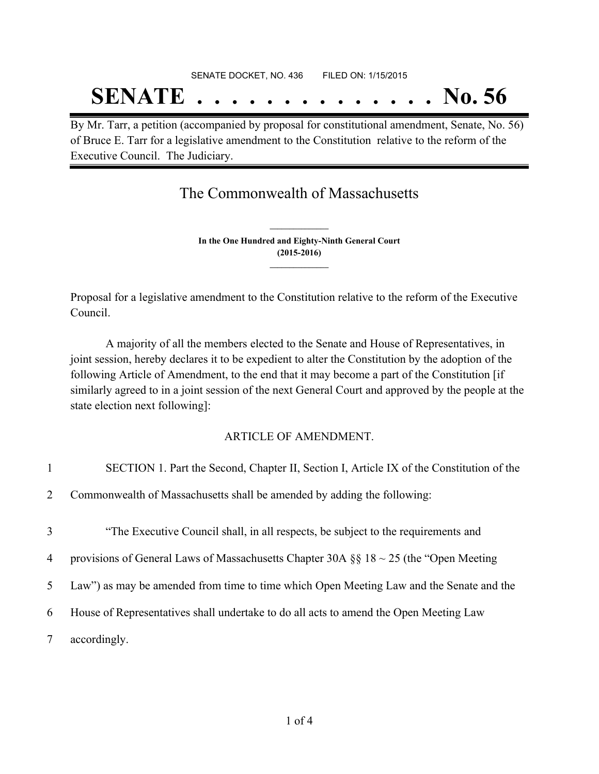## SENATE DOCKET, NO. 436 FILED ON: 1/15/2015 **SENATE . . . . . . . . . . . . . . No. 56**

By Mr. Tarr, a petition (accompanied by proposal for constitutional amendment, Senate, No. 56) of Bruce E. Tarr for a legislative amendment to the Constitution relative to the reform of the Executive Council. The Judiciary.

The Commonwealth of Massachusetts

**In the One Hundred and Eighty-Ninth General Court (2015-2016) \_\_\_\_\_\_\_\_\_\_\_\_\_\_\_**

**\_\_\_\_\_\_\_\_\_\_\_\_\_\_\_**

Proposal for a legislative amendment to the Constitution relative to the reform of the Executive Council.

A majority of all the members elected to the Senate and House of Representatives, in joint session, hereby declares it to be expedient to alter the Constitution by the adoption of the following Article of Amendment, to the end that it may become a part of the Constitution [if similarly agreed to in a joint session of the next General Court and approved by the people at the state election next following]:

#### ARTICLE OF AMENDMENT.

| $\mathbf{1}$   | SECTION 1. Part the Second, Chapter II, Section I, Article IX of the Constitution of the  |
|----------------|-------------------------------------------------------------------------------------------|
| $\overline{2}$ | Commonwealth of Massachusetts shall be amended by adding the following:                   |
| 3              | "The Executive Council shall, in all respects, be subject to the requirements and         |
| $\overline{4}$ | provisions of General Laws of Massachusetts Chapter 30A $\S$ 18 ~ 25 (the "Open Meeting") |
| 5              | Law") as may be amended from time to time which Open Meeting Law and the Senate and the   |
| 6              | House of Representatives shall undertake to do all acts to amend the Open Meeting Law     |
| 7              | accordingly.                                                                              |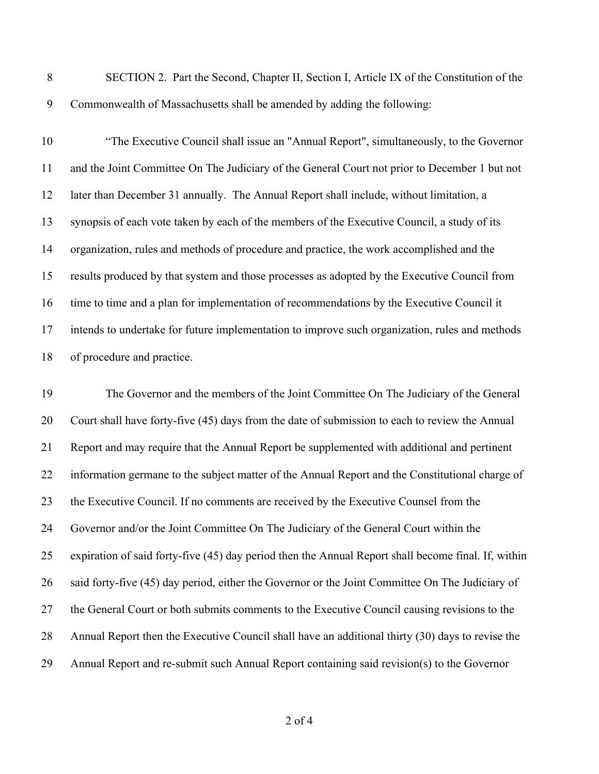SECTION 2. Part the Second, Chapter II, Section I, Article IX of the Constitution of the Commonwealth of Massachusetts shall be amended by adding the following:

 "The Executive Council shall issue an "Annual Report", simultaneously, to the Governor and the Joint Committee On The Judiciary of the General Court not prior to December 1 but not later than December 31 annually. The Annual Report shall include, without limitation, a synopsis of each vote taken by each of the members of the Executive Council, a study of its organization, rules and methods of procedure and practice, the work accomplished and the results produced by that system and those processes as adopted by the Executive Council from time to time and a plan for implementation of recommendations by the Executive Council it intends to undertake for future implementation to improve such organization, rules and methods of procedure and practice.

 The Governor and the members of the Joint Committee On The Judiciary of the General Court shall have forty-five (45) days from the date of submission to each to review the Annual Report and may require that the Annual Report be supplemented with additional and pertinent information germane to the subject matter of the Annual Report and the Constitutional charge of 23 the Executive Council. If no comments are received by the Executive Counsel from the Governor and/or the Joint Committee On The Judiciary of the General Court within the expiration of said forty-five (45) day period then the Annual Report shall become final. If, within said forty-five (45) day period, either the Governor or the Joint Committee On The Judiciary of the General Court or both submits comments to the Executive Council causing revisions to the Annual Report then the Executive Council shall have an additional thirty (30) days to revise the Annual Report and re-submit such Annual Report containing said revision(s) to the Governor

of 4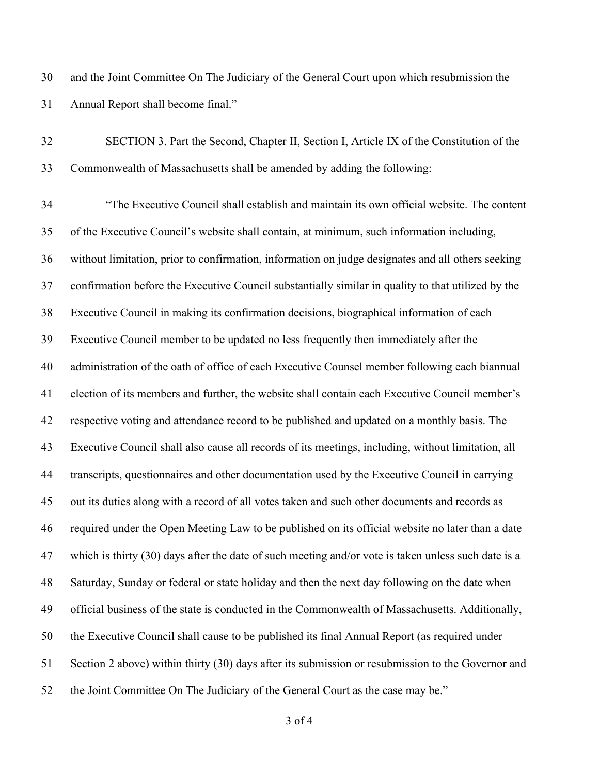and the Joint Committee On The Judiciary of the General Court upon which resubmission the Annual Report shall become final."

| 32 | SECTION 3. Part the Second, Chapter II, Section I, Article IX of the Constitution of the            |
|----|-----------------------------------------------------------------------------------------------------|
| 33 | Commonwealth of Massachusetts shall be amended by adding the following:                             |
| 34 | "The Executive Council shall establish and maintain its own official website. The content           |
| 35 | of the Executive Council's website shall contain, at minimum, such information including,           |
| 36 | without limitation, prior to confirmation, information on judge designates and all others seeking   |
| 37 | confirmation before the Executive Council substantially similar in quality to that utilized by the  |
| 38 | Executive Council in making its confirmation decisions, biographical information of each            |
| 39 | Executive Council member to be updated no less frequently then immediately after the                |
| 40 | administration of the oath of office of each Executive Counsel member following each biannual       |
| 41 | election of its members and further, the website shall contain each Executive Council member's      |
| 42 | respective voting and attendance record to be published and updated on a monthly basis. The         |
| 43 | Executive Council shall also cause all records of its meetings, including, without limitation, all  |
| 44 | transcripts, questionnaires and other documentation used by the Executive Council in carrying       |
| 45 | out its duties along with a record of all votes taken and such other documents and records as       |
| 46 | required under the Open Meeting Law to be published on its official website no later than a date    |
| 47 | which is thirty (30) days after the date of such meeting and/or vote is taken unless such date is a |
| 48 | Saturday, Sunday or federal or state holiday and then the next day following on the date when       |
| 49 | official business of the state is conducted in the Commonwealth of Massachusetts. Additionally,     |
| 50 | the Executive Council shall cause to be published its final Annual Report (as required under        |
| 51 | Section 2 above) within thirty (30) days after its submission or resubmission to the Governor and   |
| 52 | the Joint Committee On The Judiciary of the General Court as the case may be."                      |

of 4